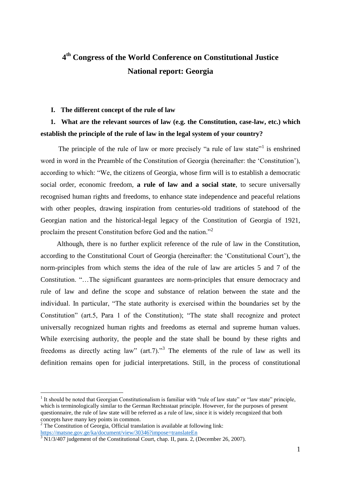# **4 th Congress of the World Conference on Constitutional Justice National report: Georgia**

#### **I. The different concept of the rule of law**

#### **1. What are the relevant sources of law (e.g. the Constitution, case-law, etc.) which establish the principle of the rule of law in the legal system of your country?**

The principle of the rule of law or more precisely "a rule of law state"<sup>1</sup> is enshrined word in word in the Preamble of the Constitution of Georgia (hereinafter: the 'Constitution'), according to which: "We, the citizens of Georgia, whose firm will is to establish a democratic social order, economic freedom, **a rule of law and a social state**, to secure universally recognised human rights and freedoms, to enhance state independence and peaceful relations with other peoples, drawing inspiration from centuries-old traditions of statehood of the Georgian nation and the historical-legal legacy of the Constitution of Georgia of 1921, proclaim the present Constitution before God and the nation."<sup>2</sup>

Although, there is no further explicit reference of the rule of law in the Constitution, according to the Constitutional Court of Georgia (hereinafter: the 'Constitutional Court'), the norm-principles from which stems the idea of the rule of law are articles 5 and 7 of the Constitution. "…The significant guarantees are norm-principles that ensure democracy and rule of law and define the scope and substance of relation between the state and the individual. In particular, "The state authority is exercised within the boundaries set by the Constitution" (art.5, Para 1 of the Constitution); "The state shall recognize and protect universally recognized human rights and freedoms as eternal and supreme human values. While exercising authority, the people and the state shall be bound by these rights and freedoms as directly acting law"  $(\text{art.7})$ ."<sup>3</sup> The elements of the rule of law as well its definition remains open for judicial interpretations. Still, in the process of constitutional

 $<sup>1</sup>$  It should be noted that Georgian Constitutionalism is familiar with "rule of law state" or "law state" principle,</sup> which is terminologically similar to the German Rechtsstaat principle. However, for the purposes of present questionnaire, the rule of law state will be referred as a rule of law, since it is widely recognized that both concepts have many key points in common.

 $2$ <sup>2</sup> The Constitution of Georgia, Official translation is available at following link:

<https://matsne.gov.ge/ka/document/view/30346?impose=translateEn>

 $3 \overline{\text{N}}$ 1/3/407 judgement of the Constitutional Court, chap. II, para. 2, (December 26, 2007).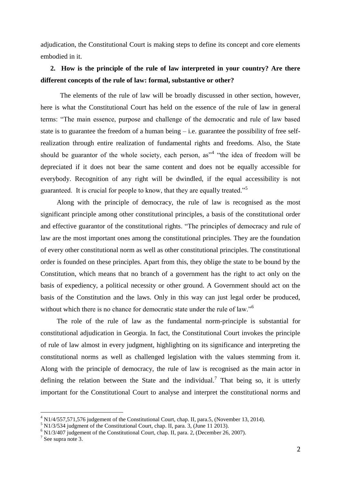adjudication, the Constitutional Court is making steps to define its concept and core elements embodied in it.

### **2. How is the principle of the rule of law interpreted in your country? Are there different concepts of the rule of law: formal, substantive or other?**

The elements of the rule of law will be broadly discussed in other section, however, here is what the Constitutional Court has held on the essence of the rule of law in general terms: "The main essence, purpose and challenge of the democratic and rule of law based state is to guarantee the freedom of a human being  $-$  i.e. guarantee the possibility of free selfrealization through entire realization of fundamental rights and freedoms. Also, the State should be guarantor of the whole society, each person, as<sup>14</sup> "the idea of freedom will be depreciated if it does not bear the same content and does not be equally accessible for everybody. Recognition of any right will be dwindled, if the equal accessibility is not guaranteed. It is crucial for people to know, that they are equally treated."<sup>5</sup>

Along with the principle of democracy, the rule of law is recognised as the most significant principle among other constitutional principles, a basis of the constitutional order and effective guarantor of the constitutional rights. "The principles of democracy and rule of law are the most important ones among the constitutional principles. They are the foundation of every other constitutional norm as well as other constitutional principles. The constitutional order is founded on these principles. Apart from this, they oblige the state to be bound by the Constitution, which means that no branch of a government has the right to act only on the basis of expediency, a political necessity or other ground. A Government should act on the basis of the Constitution and the laws. Only in this way can just legal order be produced, without which there is no chance for democratic state under the rule of law."<sup>6</sup>

The role of the rule of law as the fundamental norm-principle is substantial for constitutional adjudication in Georgia. In fact, the Constitutional Court invokes the principle of rule of law almost in every judgment, highlighting on its significance and interpreting the constitutional norms as well as challenged legislation with the values stemming from it. Along with the principle of democracy, the rule of law is recognised as the main actor in defining the relation between the State and the individual.<sup>7</sup> That being so, it is utterly important for the Constitutional Court to analyse and interpret the constitutional norms and

 $^{4}$  N1/4/557,571,576 judgement of the Constitutional Court, chap. II, para.5, (November 13, 2014).

<sup>5</sup> N1/3/534 judgment of the Constitutional Court, chap. II, para. 3, (June 11 2013).

 $6$  N1/3/407 judgement of the Constitutional Court, chap. II, para. 2, (December 26, 2007).

<sup>7</sup> See supra note 3.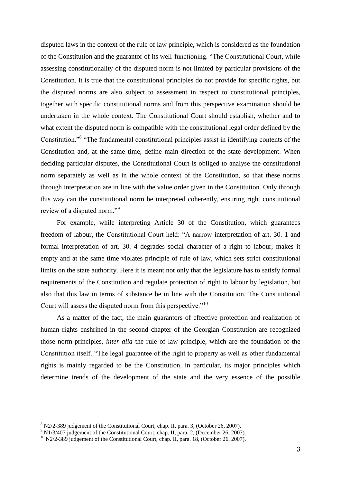disputed laws in the context of the rule of law principle, which is considered as the foundation of the Constitution and the guarantor of its well-functioning. "The Constitutional Court, while assessing constitutionality of the disputed norm is not limited by particular provisions of the Constitution. It is true that the constitutional principles do not provide for specific rights, but the disputed norms are also subject to assessment in respect to constitutional principles, together with specific constitutional norms and from this perspective examination should be undertaken in the whole context. The Constitutional Court should establish, whether and to what extent the disputed norm is compatible with the constitutional legal order defined by the Constitution."<sup>8</sup> "The fundamental constitutional principles assist in identifying contents of the Constitution and, at the same time, define main direction of the state development. When deciding particular disputes, the Constitutional Court is obliged to analyse the constitutional norm separately as well as in the whole context of the Constitution, so that these norms through interpretation are in line with the value order given in the Constitution. Only through this way can the constitutional norm be interpreted coherently, ensuring right constitutional review of a disputed norm."<sup>9</sup>

For example, while interpreting Article 30 of the Constitution, which guarantees freedom of labour, the Constitutional Court held: "A narrow interpretation of art. 30. 1 and formal interpretation of art. 30. 4 degrades social character of a right to labour, makes it empty and at the same time violates principle of rule of law, which sets strict constitutional limits on the state authority. Here it is meant not only that the legislature has to satisfy formal requirements of the Constitution and regulate protection of right to labour by legislation, but also that this law in terms of substance be in line with the Constitution. The Constitutional Court will assess the disputed norm from this perspective."<sup>10</sup>

As a matter of the fact, the main guarantors of effective protection and realization of human rights enshrined in the second chapter of the Georgian Constitution are recognized those norm-principles, *inter alia* the rule of law principle, which are the foundation of the Constitution itself. "The legal guarantee of the right to property as well as other fundamental rights is mainly regarded to be the Constitution, in particular, its major principles which determine trends of the development of the state and the very essence of the possible

 $8$  N2/2-389 judgement of the Constitutional Court, chap. II, para. 3, (October 26, 2007).

<sup>&</sup>lt;sup>9</sup> N1/3/407 judgement of the Constitutional Court, chap. II, para. 2, (December 26, 2007).

<sup>&</sup>lt;sup>10</sup> N2/2-389 judgement of the Constitutional Court, chap. II, para. 18, (October 26, 2007).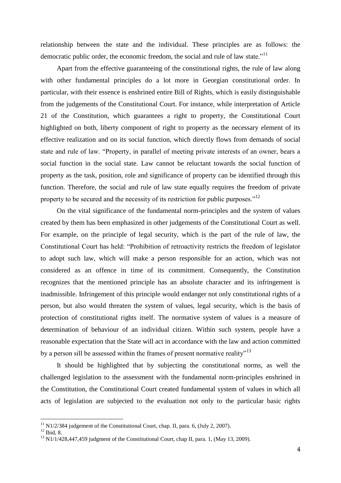relationship between the state and the individual. These principles are as follows: the democratic public order, the economic freedom, the social and rule of law state."<sup>11</sup>

Apart from the effective guaranteeing of the constitutional rights, the rule of law along with other fundamental principles do a lot more in Georgian constitutional order. In particular, with their essence is enshrined entire Bill of Rights, which is easily distinguishable from the judgements of the Constitutional Court. For instance, while interpretation of Article 21 of the Constitution, which guarantees a right to property, the Constitutional Court highlighted on both, liberty component of right to property as the necessary element of its effective realization and on its social function, which directly flows from demands of social state and rule of law. "Property, in parallel of meeting private interests of an owner, bears a social function in the social state. Law cannot be reluctant towards the social function of property as the task, position, role and significance of property can be identified through this function. Therefore, the social and rule of law state equally requires the freedom of private property to be secured and the necessity of its restriction for public purposes."<sup>12</sup>

On the vital significance of the fundamental norm-principles and the system of values created by them has been emphasized in other judgements of the Constitutional Court as well. For example, on the principle of legal security, which is the part of the rule of law, the Constitutional Court has held: "Prohibition of retroactivity restricts the freedom of legislator to adopt such law, which will make a person responsible for an action, which was not considered as an offence in time of its commitment. Consequently, the Constitution recognizes that the mentioned principle has an absolute character and its infringement is inadmissible. Infringement of this principle would endanger not only constitutional rights of a person, but also would threaten the system of values, legal security, which is the basis of protection of constitutional rights itself. The normative system of values is a measure of determination of behaviour of an individual citizen. Within such system, people have a reasonable expectation that the State will act in accordance with the law and action committed by a person sill be assessed within the frames of present normative reality"<sup>13</sup>

It should be highlighted that by subjecting the constitutional norms, as well the challenged legislation to the assessment with the fundamental norm-principles enshrined in the Constitution, the Constitutional Court created fundamental system of values in which all acts of legislation are subjected to the evaluation not only to the particular basic rights

 $11$  N1/2/384 judgement of the Constitutional Court, chap. II, para. 6, (July 2, 2007).

 $12$  Ibid, 8.

 $13$  N1/1/428,447,459 judgment of the Constitutional Court, chap II, para. 1, (May 13, 2009).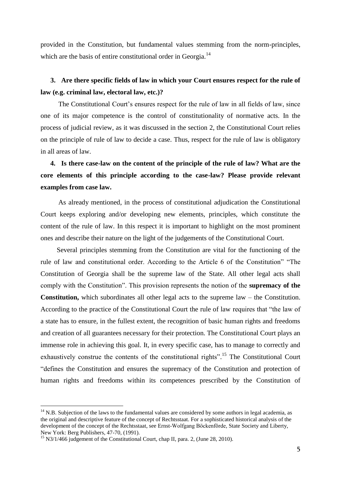provided in the Constitution, but fundamental values stemming from the norm-principles, which are the basis of entire constitutional order in Georgia.<sup>14</sup>

### **3. Are there specific fields of law in which your Court ensures respect for the rule of law (e.g. criminal law, electoral law, etc.)?**

The Constitutional Court's ensures respect for the rule of law in all fields of law, since one of its major competence is the control of constitutionality of normative acts. In the process of judicial review, as it was discussed in the section 2, the Constitutional Court relies on the principle of rule of law to decide a case. Thus, respect for the rule of law is obligatory in all areas of law.

## **4. Is there case-law on the content of the principle of the rule of law? What are the core elements of this principle according to the case-law? Please provide relevant examples from case law.**

As already mentioned, in the process of constitutional adjudication the Constitutional Court keeps exploring and/or developing new elements, principles, which constitute the content of the rule of law. In this respect it is important to highlight on the most prominent ones and describe their nature on the light of the judgements of the Constitutional Court.

Several principles stemming from the Constitution are vital for the functioning of the rule of law and constitutional order. According to the Article 6 of the Constitution" "The Constitution of Georgia shall be the supreme law of the State. All other legal acts shall comply with the Constitution". This provision represents the notion of the **supremacy of the Constitution,** which subordinates all other legal acts to the supreme law – the Constitution. According to the practice of the Constitutional Court the rule of law requires that "the law of a state has to ensure, in the fullest extent, the recognition of basic human rights and freedoms and creation of all guarantees necessary for their protection. The Constitutional Court plays an immense role in achieving this goal. It, in every specific case, has to manage to correctly and exhaustively construe the contents of the constitutional rights".<sup>15</sup> The Constitutional Court "defines the Constitution and ensures the supremacy of the Constitution and protection of human rights and freedoms within its competences prescribed by the Constitution of

 $14$  N.B. Subjection of the laws to the fundamental values are considered by some authors in legal academia, as the original and descriptive feature of the concept of Rechtsstaat. For a sophisticated historical analysis of the development of the concept of the Rechtsstaat, see Ernst-Wolfgang Böckenförde, State Society and Liberty, New York: Berg Publishers, 47-70, (1991).

<sup>&</sup>lt;sup>15</sup> N3/1/466 judgement of the Constitutional Court, chap II, para. 2, (June 28, 2010).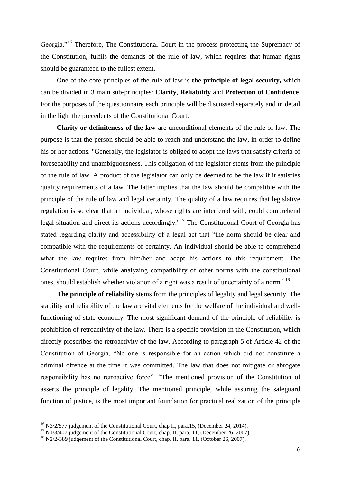Georgia."<sup>16</sup> Therefore, The Constitutional Court in the process protecting the Supremacy of the Constitution, fulfils the demands of the rule of law, which requires that human rights should be guaranteed to the fullest extent.

One of the core principles of the rule of law is **the principle of legal security,** which can be divided in 3 main sub-principles: **Clarity**, **Reliability** and **Protection of Confidence**. For the purposes of the questionnaire each principle will be discussed separately and in detail in the light the precedents of the Constitutional Court.

**Clarity or definiteness of the law** are unconditional elements of the rule of law. The purpose is that the person should be able to reach and understand the law, in order to define his or her actions. "Generally, the legislator is obliged to adopt the laws that satisfy criteria of foreseeability and unambiguousness. This obligation of the legislator stems from the principle of the rule of law. A product of the legislator can only be deemed to be the law if it satisfies quality requirements of a law. The latter implies that the law should be compatible with the principle of the rule of law and legal certainty. The quality of a law requires that legislative regulation is so clear that an individual, whose rights are interfered with, could comprehend legal situation and direct its actions accordingly."<sup>17</sup> The Constitutional Court of Georgia has stated regarding clarity and accessibility of a legal act that "the norm should be clear and compatible with the requirements of certainty. An individual should be able to comprehend what the law requires from him/her and adapt his actions to this requirement. The Constitutional Court, while analyzing compatibility of other norms with the constitutional ones, should establish whether violation of a right was a result of uncertainty of a norm".<sup>18</sup>

**The principle of reliability** stems from the principles of legality and legal security. The stability and reliability of the law are vital elements for the welfare of the individual and wellfunctioning of state economy. The most significant demand of the principle of reliability is prohibition of retroactivity of the law. There is a specific provision in the Constitution, which directly proscribes the retroactivity of the law. According to paragraph 5 of Article 42 of the Constitution of Georgia, "No one is responsible for an action which did not constitute a criminal offence at the time it was committed. The law that does not mitigate or abrogate responsibility has no retroactive force". "The mentioned provision of the Constitution of asserts the principle of legality. The mentioned principle, while assuring the safeguard function of justice, is the most important foundation for practical realization of the principle

<sup>&</sup>lt;sup>16</sup> N3/2/577 judgement of the Constitutional Court, chap II, para.15, (December 24, 2014).

<sup>&</sup>lt;sup>17</sup> N1/3/407 judgement of the Constitutional Court, chap. II, para. 11, (December 26, 2007).

<sup>&</sup>lt;sup>18</sup> N2/2-389 judgement of the Constitutional Court, chap. II, para. 11, (October 26, 2007).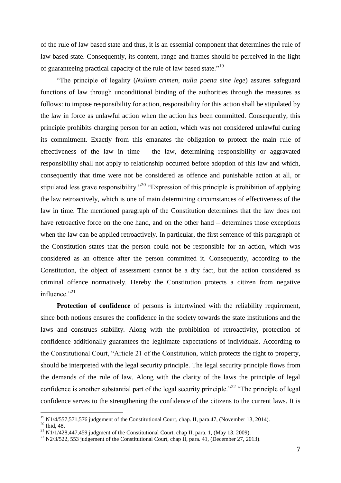of the rule of law based state and thus, it is an essential component that determines the rule of law based state. Consequently, its content, range and frames should be perceived in the light of guaranteeing practical capacity of the rule of law based state."<sup>19</sup>

"The principle of legality (*Nullum crimen, nulla poena sine lege*) assures safeguard functions of law through unconditional binding of the authorities through the measures as follows: to impose responsibility for action, responsibility for this action shall be stipulated by the law in force as unlawful action when the action has been committed. Consequently, this principle prohibits charging person for an action, which was not considered unlawful during its commitment. Exactly from this emanates the obligation to protect the main rule of effectiveness of the law in time – the law, determining responsibility or aggravated responsibility shall not apply to relationship occurred before adoption of this law and which, consequently that time were not be considered as offence and punishable action at all, or stipulated less grave responsibility."<sup>20</sup> "Expression of this principle is prohibition of applying the law retroactively, which is one of main determining circumstances of effectiveness of the law in time. The mentioned paragraph of the Constitution determines that the law does not have retroactive force on the one hand, and on the other hand – determines those exceptions when the law can be applied retroactively. In particular, the first sentence of this paragraph of the Constitution states that the person could not be responsible for an action, which was considered as an offence after the person committed it. Consequently, according to the Constitution, the object of assessment cannot be a dry fact, but the action considered as criminal offence normatively. Hereby the Constitution protects a citizen from negative influence." $^{21}$ 

**Protection of confidence** of persons is intertwined with the reliability requirement, since both notions ensures the confidence in the society towards the state institutions and the laws and construes stability. Along with the prohibition of retroactivity, protection of confidence additionally guarantees the legitimate expectations of individuals. According to the Constitutional Court, "Article 21 of the Constitution, which protects the right to property, should be interpreted with the legal security principle. The legal security principle flows from the demands of the rule of law. Along with the clarity of the laws the principle of legal confidence is another substantial part of the legal security principle."<sup>22</sup> "The principle of legal confidence serves to the strengthening the confidence of the citizens to the current laws. It is

 $^{19}$  N1/4/557,571,576 judgement of the Constitutional Court, chap. II, para.47, (November 13, 2014).

 $20$  Ibid, 48.

 $^{21}$  N1/1/428,447,459 judgment of the Constitutional Court, chap II, para. 1, (May 13, 2009).

 $^{22}$  N2/3/522, 553 judgement of the Constitutional Court, chap II, para. 41, (December 27, 2013).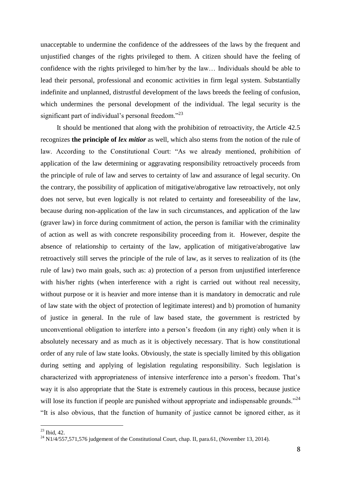unacceptable to undermine the confidence of the addressees of the laws by the frequent and unjustified changes of the rights privileged to them. A citizen should have the feeling of confidence with the rights privileged to him/her by the law… Individuals should be able to lead their personal, professional and economic activities in firm legal system. Substantially indefinite and unplanned, distrustful development of the laws breeds the feeling of confusion, which undermines the personal development of the individual. The legal security is the significant part of individual's personal freedom."<sup>23</sup>

It should be mentioned that along with the prohibition of retroactivity, the Article 42.5 recognizes **the principle of** *lex mitior* as well, which also stems from the notion of the rule of law. According to the Constitutional Court: "As we already mentioned, prohibition of application of the law determining or aggravating responsibility retroactively proceeds from the principle of rule of law and serves to certainty of law and assurance of legal security. On the contrary, the possibility of application of mitigative/abrogative law retroactively, not only does not serve, but even logically is not related to certainty and foreseeability of the law, because during non-application of the law in such circumstances, and application of the law (graver law) in force during commitment of action, the person is familiar with the criminality of action as well as with concrete responsibility proceeding from it. However, despite the absence of relationship to certainty of the law, application of mitigative/abrogative law retroactively still serves the principle of the rule of law, as it serves to realization of its (the rule of law) two main goals, such as: a) protection of a person from unjustified interference with his/her rights (when interference with a right is carried out without real necessity, without purpose or it is heavier and more intense than it is mandatory in democratic and rule of law state with the object of protection of legitimate interest) and b) promotion of humanity of justice in general. In the rule of law based state, the government is restricted by unconventional obligation to interfere into a person's freedom (in any right) only when it is absolutely necessary and as much as it is objectively necessary. That is how constitutional order of any rule of law state looks. Obviously, the state is specially limited by this obligation during setting and applying of legislation regulating responsibility. Such legislation is characterized with appropriateness of intensive interference into a person's freedom. That's way it is also appropriate that the State is extremely cautious in this process, because justice will lose its function if people are punished without appropriate and indispensable grounds."<sup>24</sup> "It is also obvious, that the function of humanity of justice cannot be ignored either, as it

 $23$  Ibid, 42.

 $^{24}$  N1/4/557,571,576 judgement of the Constitutional Court, chap. II, para.61, (November 13, 2014).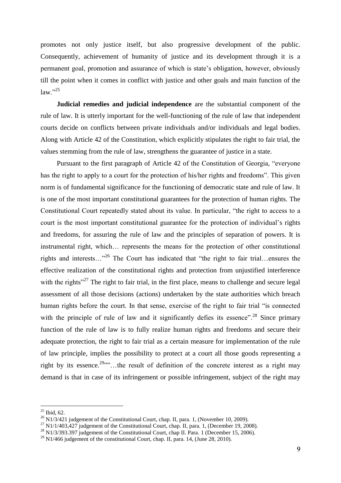promotes not only justice itself, but also progressive development of the public. Consequently, achievement of humanity of justice and its development through it is a permanent goal, promotion and assurance of which is state's obligation, however, obviously till the point when it comes in conflict with justice and other goals and main function of the  $law.$ "<sup>25</sup>

**Judicial remedies and judicial independence** are the substantial component of the rule of law. It is utterly important for the well-functioning of the rule of law that independent courts decide on conflicts between private individuals and/or individuals and legal bodies. Along with Article 42 of the Constitution, which explicitly stipulates the right to fair trial, the values stemming from the rule of law, strengthens the guarantee of justice in a state.

Pursuant to the first paragraph of Article 42 of the Constitution of Georgia, "everyone has the right to apply to a court for the protection of his/her rights and freedoms". This given norm is of fundamental significance for the functioning of democratic state and rule of law. It is one of the most important constitutional guarantees for the protection of human rights. The Constitutional Court repeatedly stated about its value. In particular, "the right to access to a court is the most important constitutional guarantee for the protection of individual's rights and freedoms, for assuring the rule of law and the principles of separation of powers. It is instrumental right, which… represents the means for the protection of other constitutional rights and interests…"<sup>26</sup> The Court has indicated that "the right to fair trial…ensures the effective realization of the constitutional rights and protection from unjustified interference with the rights"<sup>27</sup> The right to fair trial, in the first place, means to challenge and secure legal assessment of all those decisions (actions) undertaken by the state authorities which breach human rights before the court. In that sense, exercise of the right to fair trial "is connected with the principle of rule of law and it significantly defies its essence".<sup>28</sup> Since primary function of the rule of law is to fully realize human rights and freedoms and secure their adequate protection, the right to fair trial as a certain measure for implementation of the rule of law principle, implies the possibility to protect at a court all those goods representing a right by its essence.<sup>29</sup> $\ldots$  the result of definition of the concrete interest as a right may demand is that in case of its infringement or possible infringement, subject of the right may

 $25$  Ibid, 62.

 $^{26}$  N1/3/421 judgement of the Constitutional Court, chap. II, para. 1, (November 10, 2009).

 $^{27}$  N1/1/403,427 judgement of the Constitutional Court, chap. II, para. 1, (December 19, 2008).

<sup>&</sup>lt;sup>28</sup> N1/3/393.397 judgement of the Constitutional Court, chap II. Para. 1 (December 15, 2006).

 $^{29}$  N1/466 judgement of the constitutional Court, chap. II, para. 14, (June 28, 2010).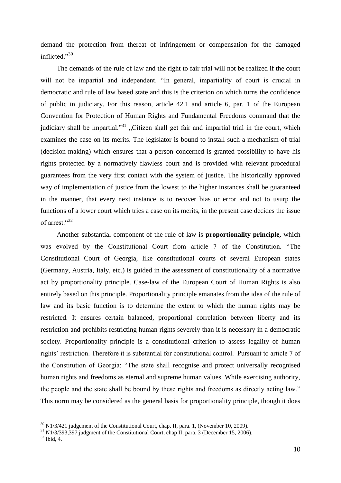demand the protection from thereat of infringement or compensation for the damaged inflicted."30

The demands of the rule of law and the right to fair trial will not be realized if the court will not be impartial and independent. "In general, impartiality of court is crucial in democratic and rule of law based state and this is the criterion on which turns the confidence of public in judiciary. For this reason, article 42.1 and article 6, par. 1 of the European Convention for Protection of Human Rights and Fundamental Freedoms command that the judiciary shall be impartial."<sup>31</sup> "Citizen shall get fair and impartial trial in the court, which examines the case on its merits. The legislator is bound to install such a mechanism of trial (decision-making) which ensures that a person concerned is granted possibility to have his rights protected by a normatively flawless court and is provided with relevant procedural guarantees from the very first contact with the system of justice. The historically approved way of implementation of justice from the lowest to the higher instances shall be guaranteed in the manner, that every next instance is to recover bias or error and not to usurp the functions of a lower court which tries a case on its merits, in the present case decides the issue of arrest."<sup>32</sup>

Another substantial component of the rule of law is **proportionality principle,** which was evolved by the Constitutional Court from article 7 of the Constitution. "The Constitutional Court of Georgia, like constitutional courts of several European states (Germany, Austria, Italy, etc.) is guided in the assessment of constitutionality of a normative act by proportionality principle. Case-law of the European Court of Human Rights is also entirely based on this principle. Proportionality principle emanates from the idea of the rule of law and its basic function is to determine the extent to which the human rights may be restricted. It ensures certain balanced, proportional correlation between liberty and its restriction and prohibits restricting human rights severely than it is necessary in a democratic society. Proportionality principle is a constitutional criterion to assess legality of human rights' restriction. Therefore it is substantial for constitutional control. Pursuant to article 7 of the Constitution of Georgia: "The state shall recognise and protect universally recognised human rights and freedoms as eternal and supreme human values. While exercising authority, the people and the state shall be bound by these rights and freedoms as directly acting law." This norm may be considered as the general basis for proportionality principle, though it does

 $30$  N1/3/421 judgement of the Constitutional Court, chap. II, para. 1, (November 10, 2009).

 $31$  N1/3/393,397 judgment of the Constitutional Court, chap II, para. 3 (December 15, 2006).

<sup>32</sup> Ibid, 4.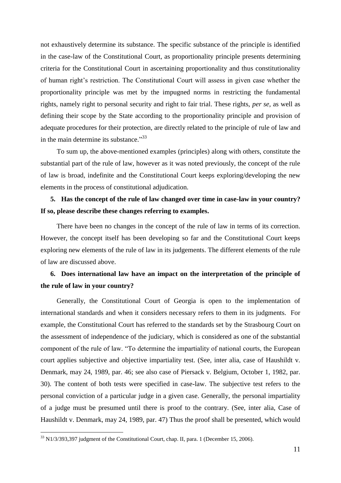not exhaustively determine its substance. The specific substance of the principle is identified in the case-law of the Constitutional Court, as proportionality principle presents determining criteria for the Constitutional Court in ascertaining proportionality and thus constitutionality of human right's restriction. The Constitutional Court will assess in given case whether the proportionality principle was met by the impugned norms in restricting the fundamental rights, namely right to personal security and right to fair trial. These rights, *per se*, as well as defining their scope by the State according to the proportionality principle and provision of adequate procedures for their protection, are directly related to the principle of rule of law and in the main determine its substance." $33$ 

To sum up, the above-mentioned examples (principles) along with others, constitute the substantial part of the rule of law, however as it was noted previously, the concept of the rule of law is broad, indefinite and the Constitutional Court keeps exploring/developing the new elements in the process of constitutional adjudication.

### **5. Has the concept of the rule of law changed over time in case-law in your country? If so, please describe these changes referring to examples.**

There have been no changes in the concept of the rule of law in terms of its correction. However, the concept itself has been developing so far and the Constitutional Court keeps exploring new elements of the rule of law in its judgements. The different elements of the rule of law are discussed above.

#### **6. Does international law have an impact on the interpretation of the principle of the rule of law in your country?**

Generally, the Constitutional Court of Georgia is open to the implementation of international standards and when it considers necessary refers to them in its judgments. For example, the Constitutional Court has referred to the standards set by the Strasbourg Court on the assessment of independence of the judiciary, which is considered as one of the substantial component of the rule of law. "To determine the impartiality of national courts, the European court applies subjective and objective impartiality test. (See, inter alia, case of Haushildt v. Denmark, may 24, 1989, par. 46; see also case of Piersack v. Belgium, October 1, 1982, par. 30). The content of both tests were specified in case-law. The subjective test refers to the personal conviction of a particular judge in a given case. Generally, the personal impartiality of a judge must be presumed until there is proof to the contrary. (See, inter alia, Case of Haushildt v. Denmark, may 24, 1989, par. 47) Thus the proof shall be presented, which would

 $33$  N1/3/393,397 judgment of the Constitutional Court, chap. II, para. 1 (December 15, 2006).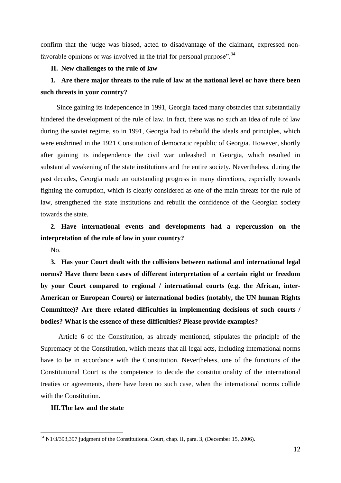confirm that the judge was biased, acted to disadvantage of the claimant, expressed nonfavorable opinions or was involved in the trial for personal purpose".<sup>34</sup>

#### **II. New challenges to the rule of law**

## **1. Are there major threats to the rule of law at the national level or have there been such threats in your country?**

Since gaining its independence in 1991, Georgia faced many obstacles that substantially hindered the development of the rule of law. In fact, there was no such an idea of rule of law during the soviet regime, so in 1991, Georgia had to rebuild the ideals and principles, which were enshrined in the 1921 Constitution of democratic republic of Georgia. However, shortly after gaining its independence the civil war unleashed in Georgia, which resulted in substantial weakening of the state institutions and the entire society. Nevertheless, during the past decades, Georgia made an outstanding progress in many directions, especially towards fighting the corruption, which is clearly considered as one of the main threats for the rule of law, strengthened the state institutions and rebuilt the confidence of the Georgian society towards the state.

#### **2. Have international events and developments had a repercussion on the interpretation of the rule of law in your country?**

No.

 $\overline{a}$ 

**3. Has your Court dealt with the collisions between national and international legal norms? Have there been cases of different interpretation of a certain right or freedom by your Court compared to regional / international courts (e.g. the African, inter-American or European Courts) or international bodies (notably, the UN human Rights Committee)? Are there related difficulties in implementing decisions of such courts / bodies? What is the essence of these difficulties? Please provide examples?**

Article 6 of the Constitution, as already mentioned, stipulates the principle of the Supremacy of the Constitution, which means that all legal acts, including international norms have to be in accordance with the Constitution. Nevertheless, one of the functions of the Constitutional Court is the competence to decide the constitutionality of the international treaties or agreements, there have been no such case, when the international norms collide with the Constitution.

#### **III.The law and the state**

 $34$  N1/3/393,397 judgment of the Constitutional Court, chap. II, para. 3, (December 15, 2006).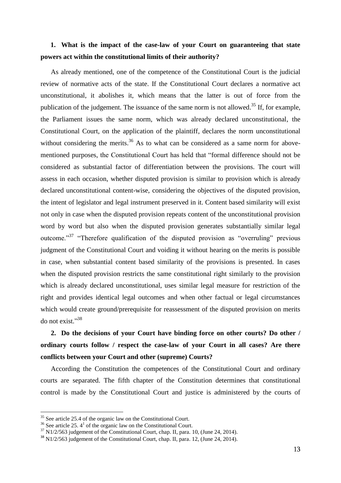### **1. What is the impact of the case-law of your Court on guaranteeing that state powers act within the constitutional limits of their authority?**

As already mentioned, one of the competence of the Constitutional Court is the judicial review of normative acts of the state. If the Constitutional Court declares a normative act unconstitutional, it abolishes it, which means that the latter is out of force from the publication of the judgement. The issuance of the same norm is not allowed.<sup>35</sup> If, for example, the Parliament issues the same norm, which was already declared unconstitutional, the Constitutional Court, on the application of the plaintiff, declares the norm unconstitutional without considering the merits.<sup>36</sup> As to what can be considered as a same norm for abovementioned purposes, the Constitutional Court has held that "formal difference should not be considered as substantial factor of differentiation between the provisions. The court will assess in each occasion, whether disputed provision is similar to provision which is already declared unconstitutional content-wise, considering the objectives of the disputed provision, the intent of legislator and legal instrument preserved in it. Content based similarity will exist not only in case when the disputed provision repeats content of the unconstitutional provision word by word but also when the disputed provision generates substantially similar legal outcome."<sup>37</sup> "Therefore qualification of the disputed provision as "overruling" previous judgment of the Constitutional Court and voiding it without hearing on the merits is possible in case, when substantial content based similarity of the provisions is presented. In cases when the disputed provision restricts the same constitutional right similarly to the provision which is already declared unconstitutional, uses similar legal measure for restriction of the right and provides identical legal outcomes and when other factual or legal circumstances which would create ground/prerequisite for reassessment of the disputed provision on merits do not exist."<sup>38</sup>

## **2. Do the decisions of your Court have binding force on other courts? Do other / ordinary courts follow / respect the case-law of your Court in all cases? Are there conflicts between your Court and other (supreme) Courts?**

According the Constitution the competences of the Constitutional Court and ordinary courts are separated. The fifth chapter of the Constitution determines that constitutional control is made by the Constitutional Court and justice is administered by the courts of

 $35$  See article 25.4 of the organic law on the Constitutional Court.

 $36$  See article 25.  $4<sup>1</sup>$  of the organic law on the Constitutional Court.

<sup>&</sup>lt;sup>37</sup> N1/2/563 judgement of the Constitutional Court, chap. II, para. 10, (June 24, 2014).

<sup>&</sup>lt;sup>38</sup> N1/2/563 judgement of the Constitutional Court, chap. II, para. 12, (June 24, 2014).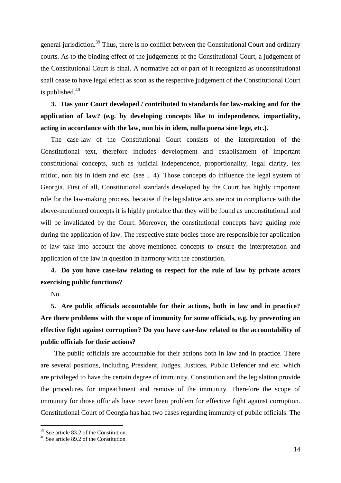general jurisdiction.<sup>39</sup> Thus, there is no conflict between the Constitutional Court and ordinary courts. As to the binding effect of the judgements of the Constitutional Court, a judgement of the Constitutional Court is final. A normative act or part of it recognized as unconstitutional shall cease to have legal effect as soon as the respective judgement of the Constitutional Court is published. $40$ 

**3. Has your Court developed / contributed to standards for law-making and for the application of law? (e.g. by developing concepts like to independence, impartiality, acting in accordance with the law, non bis in idem, nulla poena sine lege, etc.).**

The case-law of the Constitutional Court consists of the interpretation of the Constitutional text, therefore includes development and establishment of important constitutional concepts, such as judicial independence, proportionality, legal clarity, lex mitior, non bis in idem and etc. (see I. 4). Those concepts do influence the legal system of Georgia. First of all, Constitutional standards developed by the Court has highly important role for the law-making process, because if the legislative acts are not in compliance with the above-mentioned concepts it is highly probable that they will be found as unconstitutional and will be invalidated by the Court. Moreover, the constitutional concepts have guiding role during the application of law. The respective state bodies those are responsible for application of law take into account the above-mentioned concepts to ensure the interpretation and application of the law in question in harmony with the constitution.

### **4. Do you have case-law relating to respect for the rule of law by private actors exercising public functions?**

No.

 $\overline{a}$ 

**5. Are public officials accountable for their actions, both in law and in practice? Are there problems with the scope of immunity for some officials, e.g. by preventing an effective fight against corruption? Do you have case-law related to the accountability of public officials for their actions?**

The public officials are accountable for their actions both in law and in practice. There are several positions, including President, Judges, Justices, Public Defender and etc. which are privileged to have the certain degree of immunity. Constitution and the legislation provide the procedures for impeachment and remove of the immunity. Therefore the scope of immunity for those officials have never been problem for effective fight against corruption. Constitutional Court of Georgia has had two cases regarding immunity of public officials. The

<sup>&</sup>lt;sup>39</sup> See article 83.2 of the Constitution.

<sup>40</sup> See article 89.2 of the Constitution.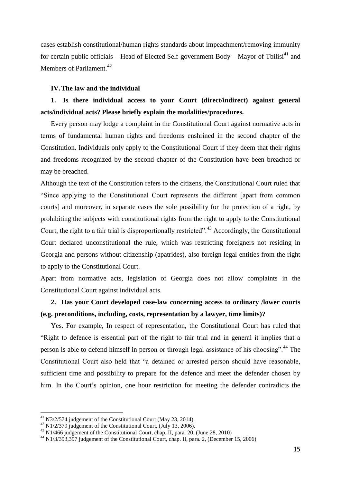cases establish constitutional/human rights standards about impeachment/removing immunity for certain public officials – Head of Elected Self-government Body – Mayor of Tbilisi<sup>41</sup> and Members of Parliament.<sup>42</sup>

#### **IV.The law and the individual**

### **1. Is there individual access to your Court (direct/indirect) against general acts/individual acts? Please briefly explain the modalities/procedures.**

Every person may lodge a complaint in the Constitutional Court against normative acts in terms of fundamental human rights and freedoms enshrined in the second chapter of the Constitution. Individuals only apply to the Constitutional Court if they deem that their rights and freedoms recognized by the second chapter of the Constitution have been breached or may be breached.

Although the text of the Constitution refers to the citizens, the Constitutional Court ruled that "Since applying to the Constitutional Court represents the different [apart from common courts] and moreover, in separate cases the sole possibility for the protection of a right, by prohibiting the subjects with constitutional rights from the right to apply to the Constitutional Court, the right to a fair trial is disproportionally restricted".<sup>43</sup> Accordingly, the Constitutional Court declared unconstitutional the rule, which was restricting foreigners not residing in Georgia and persons without citizenship (apatrides), also foreign legal entities from the right to apply to the Constitutional Court.

Apart from normative acts, legislation of Georgia does not allow complaints in the Constitutional Court against individual acts.

### **2. Has your Court developed case-law concerning access to ordinary /lower courts (e.g. preconditions, including, costs, representation by a lawyer, time limits)?**

Yes. For example, In respect of representation, the Constitutional Court has ruled that "Right to defence is essential part of the right to fair trial and in general it implies that a person is able to defend himself in person or through legal assistance of his choosing".<sup>44</sup> The Constitutional Court also held that "a detained or arrested person should have reasonable, sufficient time and possibility to prepare for the defence and meet the defender chosen by him. In the Court's opinion, one hour restriction for meeting the defender contradicts the

 $^{41}$  N3/2/574 judgement of the Constitutional Court (May 23, 2014).

<sup>&</sup>lt;sup>42</sup> N1/2/379 judgement of the Constitutional Court, (July 13, 2006).

<sup>43</sup> N1/466 judgement of the Constitutional Court, chap. II, para. 20, (June 28, 2010)

<sup>44</sup> N1/3/393,397 judgement of the Constitutional Court, chap. II, para. 2, (December 15, 2006)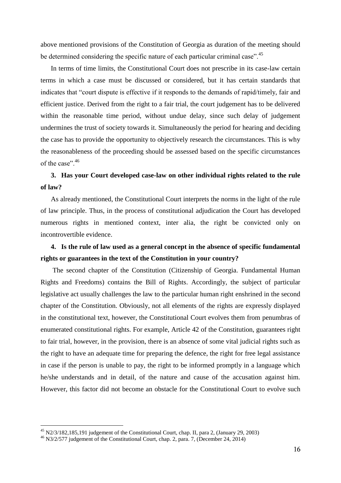above mentioned provisions of the Constitution of Georgia as duration of the meeting should be determined considering the specific nature of each particular criminal case".<sup>45</sup>

In terms of time limits, the Constitutional Court does not prescribe in its case-law certain terms in which a case must be discussed or considered, but it has certain standards that indicates that "court dispute is effective if it responds to the demands of rapid/timely, fair and efficient justice. Derived from the right to a fair trial, the court judgement has to be delivered within the reasonable time period, without undue delay, since such delay of judgement undermines the trust of society towards it. Simultaneously the period for hearing and deciding the case has to provide the opportunity to objectively research the circumstances. This is why the reasonableness of the proceeding should be assessed based on the specific circumstances of the case".<sup>46</sup>

#### **3. Has your Court developed case-law on other individual rights related to the rule of law?**

As already mentioned, the Constitutional Court interprets the norms in the light of the rule of law principle. Thus, in the process of constitutional adjudication the Court has developed numerous rights in mentioned context, inter alia, the right be convicted only on incontrovertible evidence.

#### **4. Is the rule of law used as a general concept in the absence of specific fundamental rights or guarantees in the text of the Constitution in your country?**

The second chapter of the Constitution (Citizenship of Georgia. Fundamental Human Rights and Freedoms) contains the Bill of Rights. Accordingly, the subject of particular legislative act usually challenges the law to the particular human right enshrined in the second chapter of the Constitution. Obviously, not all elements of the rights are expressly displayed in the constitutional text, however, the Constitutional Court evolves them from penumbras of enumerated constitutional rights. For example, Article 42 of the Constitution, guarantees right to fair trial, however, in the provision, there is an absence of some vital judicial rights such as the right to have an adequate time for preparing the defence, the right for free legal assistance in case if the person is unable to pay, the right to be informed promptly in a language which he/she understands and in detail, of the nature and cause of the accusation against him. However, this factor did not become an obstacle for the Constitutional Court to evolve such

 $45$  N2/3/182,185,191 judgement of the Constitutional Court, chap. II, para 2, (January 29, 2003)

<sup>46</sup> N3/2/577 judgement of the Constitutional Court, chap. 2, para. 7, (December 24, 2014)